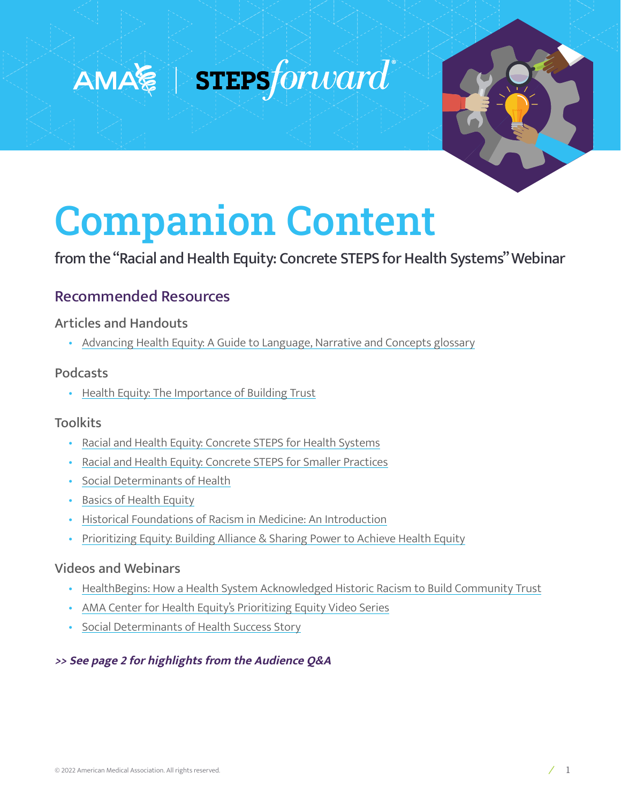## $AMA$   $\geqslant$   $\parallel$  steps forward



# Companion Content

from the "Racial and Health Equity: Concrete STEPS for Health Systems" Webinar

## Recommended Resources

#### Articles and Handouts

• [Advancing Health Equity: A Guide to Language, Narrative and Concepts glossary](https://www.ama-assn.org/about/ama-center-health-equity/advancing-health-equity-guide-language-narrative-and-concepts)

#### Podcasts

• [Health Equity: The Importance of Building Trust](http://traffic.libsyn.com/stepsforward/20211022_Podcast_Bhavan_HealthEquity.mp3)

#### **Toolkits**

- [Racial and Health Equity: Concrete STEPS for Health Systems](https://edhub.ama-assn.org/steps-forward/module/2788862)
- [Racial and Health Equity: Concrete STEPS for Smaller Practices](https://edhub.ama-assn.org/steps-forward/module/2782426)
- [Social Determinants of Health](https://edhub.ama-assn.org/steps-forward/module/2702762)
- [Basics of Health Equity](https://edhub.ama-assn.org/ama-center-health-equity/interactive/18646635)
- [Historical Foundations of Racism in Medicine: An Introduction](https://edhub.ama-assn.org/ama-center-health-equity/interactive/18633568)
- [Prioritizing Equity: Building Alliance & Sharing Power to Achieve Health Equity](https://edhub.ama-assn.org/ama-center-health-equity/video-player/18644424)

#### Videos and Webinars

- [HealthBegins: How a Health System Acknowledged Historic Racism to Build Community Trust](https://healthbegins.org/cone-health-greensboro-housing/)
- [AMA Center for Health Equity's Prioritizing Equity Video Series](https://www.ama-assn.org/delivering-care/health-equity/prioritizing-equity-video-series)
- [Social Determinants of Health Success Story](https://edhub.ama-assn.org/steps-forward/module/2702762)

#### **>> See page 2 for highlights from the Audience Q&A**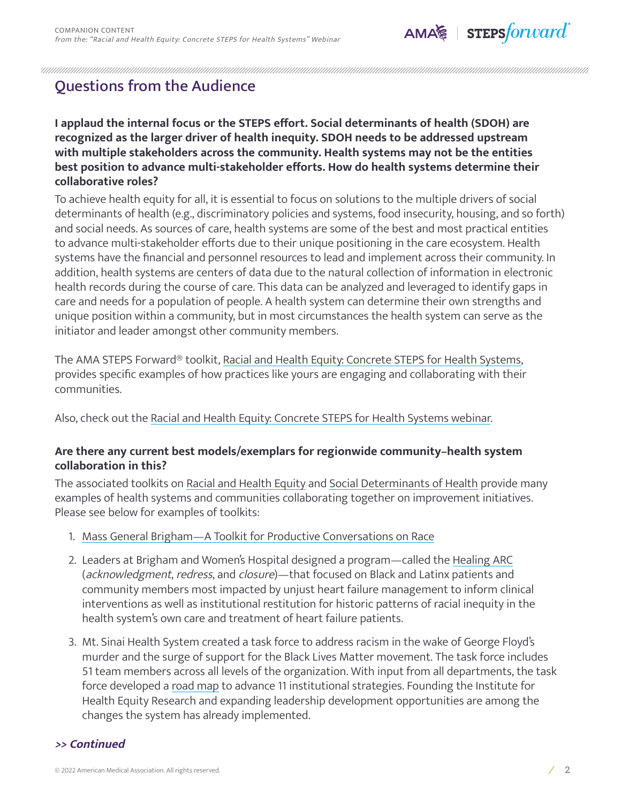

### Questions from the Audience

#### **I applaud the internal focus or the STEPS effort. Social determinants of health (SDOH) are recognized as the larger driver of health inequity. SDOH needs to be addressed upstream with multiple stakeholders across the community. Health systems may not be the entities best position to advance multi-stakeholder efforts. How do health systems determine their collaborative roles?**

To achieve health equity for all, it is essential to focus on solutions to the multiple drivers of social determinants of health (e.g., discriminatory policies and systems, food insecurity, housing, and so forth) and social needs. As sources of care, health systems are some of the best and most practical entities to advance multi-stakeholder efforts due to their unique positioning in the care ecosystem. Health systems have the financial and personnel resources to lead and implement across their community. In addition, health systems are centers of data due to the natural collection of information in electronic health records during the course of care. This data can be analyzed and leveraged to identify gaps in care and needs for a population of people. A health system can determine their own strengths and unique position within a community, but in most circumstances the health system can serve as the initiator and leader amongst other community members.

The AMA STEPS Forward® toolkit, [Racial and Health Equity: Concrete STEPS for Health Systems,](https://edhub.ama-assn.org/steps-forward/module/2788862) provides specific examples of how practices like yours are engaging and collaborating with their communities.

Also, check out the [Racial and Health Equity: Concrete STEPS for Health Systems webinar.](https://youtu.be/ME9VVeEe34U)

#### **Are there any current best models/exemplars for regionwide community–health system collaboration in this?**

The associated toolkits on [Racial and Health Equity](https://edhub.ama-assn.org/steps-forward/module/2788862) and [Social Determinants of Health](https://edhub.ama-assn.org/steps-forward/module/2702762) provide many examples of health systems and communities collaborating together on improvement initiatives. Please see below for examples of toolkits:

- 1. [Mass General Brigham—A Toolkit for Productive Conversations on Race](https://miratcreative.com/wp-content/uploads/MGB-ToolKit-June2020.pdf)
- 2. Leaders at Brigham and Women's Hospital designed a program—called the [Healing ARC](http://bostonreview.net/science-nature-race/bram-wispelwey-michelle-morse-antiracist-agenda-medicine) (acknowledgment, redress, and closure)—that focused on Black and Latinx patients and community members most impacted by unjust heart failure management to inform clinical interventions as well as institutional restitution for historic patterns of racial inequity in the health system's own care and treatment of heart failure patients.
- 3. Mt. Sinai Health System created a task force to address racism in the wake of George Floyd's murder and the surge of support for the Black Lives Matter movement. The task force includes 51 team members across all levels of the organization. With input from all departments, the task force developed a [road map](https://www.mountsinai.org/about/mshs-task-force/road-map) to advance 11 institutional strategies. Founding the Institute for Health Equity Research and expanding leadership development opportunities are among the changes the system has already implemented.

#### **>> Continued**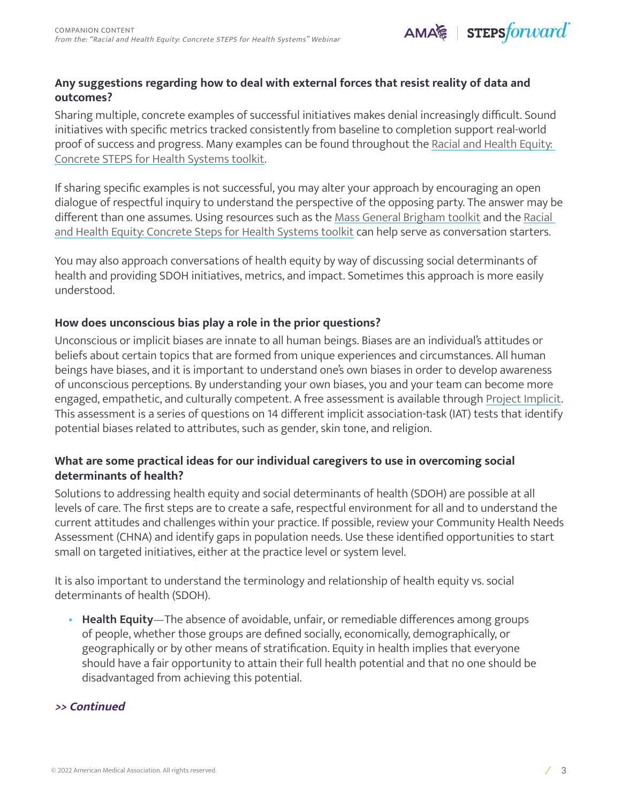

#### **Any suggestions regarding how to deal with external forces that resist reality of data and outcomes?**

Sharing multiple, concrete examples of successful initiatives makes denial increasingly difficult. Sound initiatives with specific metrics tracked consistently from baseline to completion support real-world proof of success and progress. Many examples can be found throughout the [Racial and Health Equity:](https://edhub.ama-assn.org/steps-forward/module/2788862)  [Concrete STEPS for Health Systems toolkit.](https://edhub.ama-assn.org/steps-forward/module/2788862)

If sharing specific examples is not successful, you may alter your approach by encouraging an open dialogue of respectful inquiry to understand the perspective of the opposing party. The answer may be different than one assumes. Using resources such as the [Mass General Brigham toolkit](https://miratcreative.com/wp-content/uploads/MGB-ToolKit-June2020.pdf) and the [Racial](https://edhub.ama-assn.org/steps-forward/module/2788862)  [and Health Equity: Concrete Steps for Health Systems toolkit](https://edhub.ama-assn.org/steps-forward/module/2788862) can help serve as conversation starters.

You may also approach conversations of health equity by way of discussing social determinants of health and providing SDOH initiatives, metrics, and impact. Sometimes this approach is more easily understood.

#### **How does unconscious bias play a role in the prior questions?**

Unconscious or implicit biases are innate to all human beings. Biases are an individual's attitudes or beliefs about certain topics that are formed from unique experiences and circumstances. All human beings have biases, and it is important to understand one's own biases in order to develop awareness of unconscious perceptions. By understanding your own biases, you and your team can become more engaged, empathetic, and culturally competent. A free assessment is available through [Project Implicit](https://implicit.harvard.edu/implicit/takeatest.html). This assessment is a series of questions on 14 different implicit association-task (IAT) tests that identify potential biases related to attributes, such as gender, skin tone, and religion.

#### **What are some practical ideas for our individual caregivers to use in overcoming social determinants of health?**

Solutions to addressing health equity and social determinants of health (SDOH) are possible at all levels of care. The first steps are to create a safe, respectful environment for all and to understand the current attitudes and challenges within your practice. If possible, review your Community Health Needs Assessment (CHNA) and identify gaps in population needs. Use these identified opportunities to start small on targeted initiatives, either at the practice level or system level.

It is also important to understand the terminology and relationship of health equity vs. social determinants of health (SDOH).

• **Health Equity**—The absence of avoidable, unfair, or remediable differences among groups of people, whether those groups are defined socially, economically, demographically, or geographically or by other means of stratification. Equity in health implies that everyone should have a fair opportunity to attain their full health potential and that no one should be disadvantaged from achieving this potential.

#### **>> Continued**